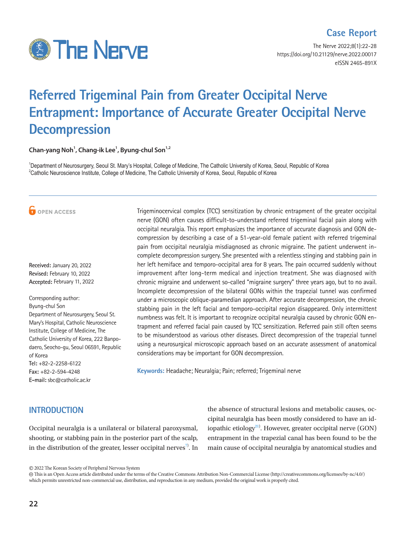

## **Case Report**

The Nerve 2022;8(1):22-28 https://doi.org/10.21129/nerve.2022.00017 eISSN 2465-891X

# **Referred Trigeminal Pain from Greater Occipital Nerve Entrapment: Importance of Accurate Greater Occipital Nerve Decompression**

**Chan-yang Noh1 , Chang-ik Lee1 , Byung-chul Son1,2**

<sup>1</sup>Department of Neurosurgery, Seoul St. Mary's Hospital, College of Medicine, The Catholic University of Korea, Seoul, Republic of Korea  $^{2}$ Catholic Neuroscience Institute, College of Medicine, The Catholic University of Korea, Seoul, Republic of Korea

**O** OPEN ACCESS

**Received:** January 20, 2022 **Revised:** February 10, 2022 **Accepted:** February 11, 2022

Corresponding author: Byung-chul Son Department of Neurosurgery, Seoul St. Mary's Hospital, Catholic Neuroscience Institute, College of Medicine, The Catholic University of Korea, 222 Banpodaero, Seocho-gu, Seoul 06591, Republic of Korea **Tel:** +82-2-2258-6122 **Fax:** +82-2-594-4248 **E-mail:** sbc@catholic.ac.kr

Trigeminocervical complex (TCC) sensitization by chronic entrapment of the greater occipital nerve (GON) often causes difficult-to-understand referred trigeminal facial pain along with occipital neuralgia. This report emphasizes the importance of accurate diagnosis and GON decompression by describing a case of a 51-year-old female patient with referred trigeminal pain from occipital neuralgia misdiagnosed as chronic migraine. The patient underwent incomplete decompression surgery. She presented with a relentless stinging and stabbing pain in her left hemiface and temporo-occipital area for 8 years. The pain occurred suddenly without improvement after long-term medical and injection treatment. She was diagnosed with chronic migraine and underwent so-called "migraine surgery" three years ago, but to no avail. Incomplete decompression of the bilateral GONs within the trapezial tunnel was confirmed under a microscopic oblique-paramedian approach. After accurate decompression, the chronic stabbing pain in the left facial and temporo-occipital region disappeared. Only intermittent numbness was felt. It is important to recognize occipital neuralgia caused by chronic GON entrapment and referred facial pain caused by TCC sensitization. Referred pain still often seems to be misunderstood as various other diseases. Direct decompression of the trapezial tunnel using a neurosurgical microscopic approach based on an accurate assessment of anatomical considerations may be important for GON decompression.

**Keywords:** Headache; Neuralgia; Pain; referred; Trigeminal nerve

## **INTRODUCTION**

Occipital neuralgia is a unilateral or bilateral paroxysmal, shooting, or stabbing pain in the posterior part of the scalp, in the distribution of the greater, lesser occipital nerves<sup>7</sup>. In the absence of structural lesions and metabolic causes, occipital neuralgia has been mostly considered to have an idiopathic etiology<sup>21</sup>). However, greater occipital nerve  $(GON)$ entrapment in the trapezial canal has been found to be the main cause of occipital neuralgia by anatomical studies and

© 2022 The Korean Society of Peripheral Nervous System

 This is an Open Access article distributed under the terms of the Creative Commons Attribution Non-Commercial License (http://creativecommons.org/licenses/by-nc/4.0/) which permits unrestricted non-commercial use, distribution, and reproduction in any medium, provided the original work is properly cited.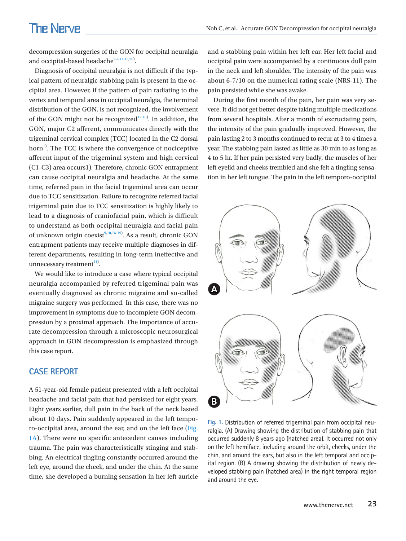decompression surgeries of the GON for occipital neuralgia and occipital-based headache $2-4,14,15,20$  $2-4,14,15,20$  $2-4,14,15,20$  $2-4,14,15,20$  $2-4,14,15,20$  $2-4,14,15,20$ .

Diagnosis of occipital neuralgia is not difficult if the typical pattern of neuralgic stabbing pain is present in the occipital area. However, if the pattern of pain radiating to the vertex and temporal area in occipital neuralgia, the terminal distribution of the GON, is not recognized, the involvement of the GON might not be recognized $12,18$  $12,18$ ). In addition, the GON, major C2 afferent, communicates directly with the trigeminal cervical complex (TCC) located in the C2 dorsal horn<sup>[1](#page-5-7))</sup>. The TCC is where the convergence of nociceptive afferent input of the trigeminal system and high cervical (C1-C3) area occurs1). Therefore, chronic GON entrapment can cause occipital neuralgia and headache. At the same time, referred pain in the facial trigeminal area can occur due to TCC sensitization. Failure to recognize referred facial trigeminal pain due to TCC sensitization is highly likely to lead to a diagnosis of craniofacial pain, which is difficult to understand as both occipital neuralgia and facial pain of unknown origin coexist<sup>[9,](#page-5-8)[10](#page-5-3)[,16](#page-5-9)-19</sup>). As a result, chronic GON entrapment patients may receive multiple diagnoses in different departments, resulting in long-term ineffective and unnecessary treatment<sup>11)</sup>.

We would like to introduce a case where typical occipital neuralgia accompanied by referred trigeminal pain was eventually diagnosed as chronic migraine and so-called migraine surgery was performed. In this case, there was no improvement in symptoms due to incomplete GON decompression by a proximal approach. The importance of accurate decompression through a microscopic neurosurgical approach in GON decompression is emphasized through this case report.

### **CASE REPORT**

A 51-year-old female patient presented with a left occipital headache and facial pain that had persisted for eight years. Eight years earlier, dull pain in the back of the neck lasted about 10 days. Pain suddenly appeared in the left temporo-occipital area, around the ear, and on the left face [\(Fig.](#page-1-0)  [1A](#page-1-0)). There were no specific antecedent causes including trauma. The pain was characteristically stinging and stabbing. An electrical tingling constantly occurred around the left eye, around the cheek, and under the chin. At the same time, she developed a burning sensation in her left auricle

and a stabbing pain within her left ear. Her left facial and occipital pain were accompanied by a continuous dull pain in the neck and left shoulder. The intensity of the pain was about 6-7/10 on the numerical rating scale (NRS-11). The pain persisted while she was awake.

During the first month of the pain, her pain was very severe. It did not get better despite taking multiple medications from several hospitals. After a month of excruciating pain, the intensity of the pain gradually improved. However, the pain lasting 2 to 3 months continued to recur at 3 to 4 times a year. The stabbing pain lasted as little as 30 min to as long as 4 to 5 hr. If her pain persisted very badly, the muscles of her left eyelid and cheeks trembled and she felt a tingling sensation in her left tongue. The pain in the left temporo-occipital

<span id="page-1-0"></span>

**Fig. 1.** Distribution of referred trigeminal pain from occipital neuralgia. (A) Drawing showing the distribution of stabbing pain that occurred suddenly 8 years ago (hatched area). It occurred not only on the left hemiface, including around the orbit, cheeks, under the chin, and around the ears, but also in the left temporal and occipital region. (B) A drawing showing the distribution of newly developed stabbing pain (hatched area) in the right temporal region and around the eye.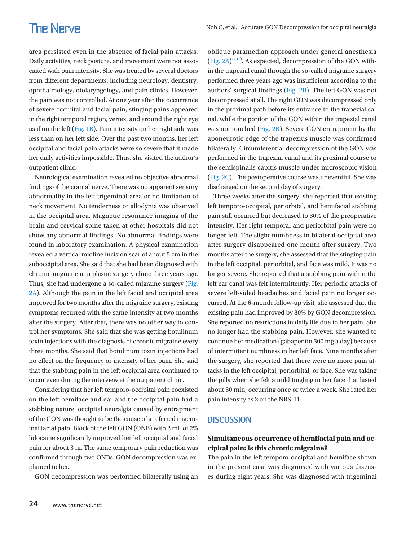area persisted even in the absence of facial pain attacks. Daily activities, neck posture, and movement were not associated with pain intensity. She was treated by several doctors from different departments, including neurology, dentistry, ophthalmology, otolaryngology, and pain clinics. However, the pain was not controlled. At one year after the occurrence of severe occipital and facial pain, stinging pains appeared in the right temporal region, vertex, and around the right eye as if on the left [\(Fig. 1B](#page-1-0)). Pain intensity on her right side was less than on her left side. Over the past two months, her left occipital and facial pain attacks were so severe that it made her daily activities impossible. Thus, she visited the author's outpatient clinic.

Neurological examination revealed no objective abnormal findings of the cranial nerve. There was no apparent sensory abnormality in the left trigeminal area or no limitation of neck movement. No tenderness or allodynia was observed in the occipital area. Magnetic resonance imaging of the brain and cervical spine taken at other hospitals did not show any abnormal findings. No abnormal findings were found in laboratory examination. A physical examination revealed a vertical midline incision scar of about 5 cm in the suboccipital area. She said that she had been diagnosed with chronic migraine at a plastic surgery clinic three years ago. Thus, she had undergone a so-called migraine surgery ([Fig.](#page-3-0)  [2A\)](#page-3-0). Although the pain in the left facial and occipital area improved for two months after the migraine surgery, existing symptoms recurred with the same intensity at two months after the surgery. After that, there was no other way to control her symptoms. She said that she was getting botulinum toxin injections with the diagnosis of chronic migraine every three months. She said that botulinum toxin injections had no effect on the frequency or intensity of her pain. She said that the stabbing pain in the left occipital area continued to occur even during the interview at the outpatient clinic.

Considering that her left temporo-occipital pain coexisted on the left hemiface and ear and the occipital pain had a stabbing nature, occipital neuralgia caused by entrapment of the GON was thought to be the cause of a referred trigeminal facial pain. Block of the left GON (ONB) with 2 mL of 2% lidocaine significantly improved her left occipital and facial pain for about 3 hr. The same temporary pain reduction was confirmed through two ONBs. GON decompression was explained to her.

GON decompression was performed bilaterally using an

oblique paramedian approach under general anesthesia  $(Fig. 2A)^{12,18}$  $(Fig. 2A)^{12,18}$ . As expected, decompression of the GON within the trapezial canal through the so-called migraine surgery performed three years ago was insufficient according to the authors' surgical findings [\(Fig. 2B](#page-3-0)). The left GON was not decompressed at all. The right GON was decompressed only in the proximal path before its entrance to the trapezial canal, while the portion of the GON within the trapezial canal was not touched [\(Fig. 2B](#page-3-0)). Severe GON entrapment by the aponeurotic edge of the trapezius muscle was confirmed bilaterally. Circumferential decompression of the GON was performed in the trapezial canal and its proximal course to the semispinalis capitis muscle under microscopic vision [\(Fig.](#page-3-0) [2C\)](#page-3-0). The postoperative course was uneventful. She was discharged on the second day of surgery.

Three weeks after the surgery, she reported that existing left temporo-occipital, periorbital, and hemifacial stabbing pain still occurred but decreased to 30% of the preoperative intensity. Her right temporal and periorbital pain were no longer felt. The slight numbness in bilateral occipital area after surgery disappeared one month after surgery. Two months after the surgery, she assessed that the stinging pain in the left occipital, periorbital, and face was mild. It was no longer severe. She reported that a stabbing pain within the left ear canal was felt intermittently. Her periodic attacks of severe left-sided headaches and facial pain no longer occurred. At the 6-month follow-up visit, she assessed that the existing pain had improved by 80% by GON decompression. She reported no restrictions in daily life due to her pain. She no longer had the stabbing pain. However, she wanted to continue her medication (gabapentin 300 mg a day) because of intermittent numbness in her left face. Nine months after the surgery, she reported that there were no more pain attacks in the left occipital, periorbital, or face. She was taking the pills when she felt a mild tingling in her face that lasted about 30 min, occurring once or twice a week. She rated her pain intensity as 2 on the NRS-11.

#### **DISCUSSION**

## **Simultaneous occurrence of hemifacial pain and occipital pain: Is this chronic migraine?**

The pain in the left temporo-occipital and hemiface shown in the present case was diagnosed with various diseases during eight years. She was diagnosed with trigeminal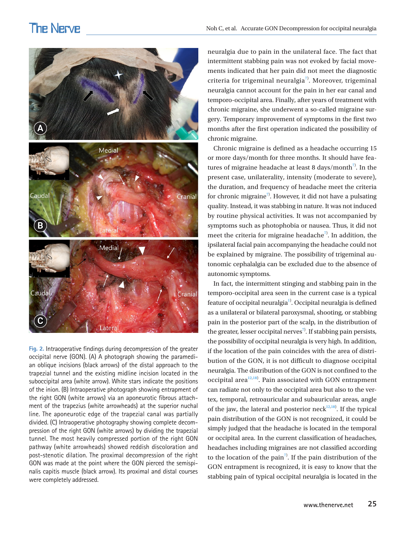## **The Nerve**

<span id="page-3-0"></span>

**Fig. 2.** Intraoperative findings during decompression of the greater occipital nerve (GON). (A) A photograph showing the paramedian oblique incisions (black arrows) of the distal approach to the trapezial tunnel and the existing midline incision located in the suboccipital area (white arrow). White stars indicate the positions of the inion. (B) Intraoperative photograph showing entrapment of the right GON (white arrows) via an aponeurotic fibrous attachment of the trapezius (white arrowheads) at the superior nuchal line. The aponeurotic edge of the trapezial canal was partially divided. (C) Intraoperative photography showing complete decompression of the right GON (white arrows) by dividing the trapezial tunnel. The most heavily compressed portion of the right GON pathway (white arrowheads) showed reddish discoloration and post-stenotic dilation. The proximal decompression of the right GON was made at the point where the GON pierced the semispinalis capitis muscle (black arrow). Its proximal and distal courses were completely addressed.

neuralgia due to pain in the unilateral face. The fact that intermittent stabbing pain was not evoked by facial movements indicated that her pain did not meet the diagnostic criteria for trigeminal neuralgia $7$ ). Moreover, trigeminal neuralgia cannot account for the pain in her ear canal and temporo-occipital area. Finally, after years of treatment with chronic migraine, she underwent a so-called migraine surgery. Temporary improvement of symptoms in the first two months after the first operation indicated the possibility of chronic migraine.

Chronic migraine is defined as a headache occurring 15 or more days/month for three months. It should have features of migraine headache at least 8 days/month<sup>7)</sup>. In the present case, unilaterality, intensity (moderate to severe), the duration, and frequency of headache meet the criteria for chronic migraine<sup>7</sup>. However, it did not have a pulsating quality. Instead, it was stabbing in nature. It was not induced by routine physical activities. It was not accompanied by symptoms such as photophobia or nausea. Thus, it did not meet the criteria for migraine headache<sup>7</sup>. In addition, the ipsilateral facial pain accompanying the headache could not be explained by migraine. The possibility of trigeminal autonomic cephalalgia can be excluded due to the absence of autonomic symptoms.

In fact, the intermittent stinging and stabbing pain in the temporo-occipital area seen in the current case is a typical feature of occipital neuralgia<sup>1)</sup>. Occipital neuralgia is defined as a unilateral or bilateral paroxysmal, shooting, or stabbing pain in the posterior part of the scalp, in the distribution of the greater, lesser occipital nerves<sup>7)</sup>. If stabbing pain persists, the possibility of occipital neuralgia is very high. In addition, if the location of the pain coincides with the area of distribution of the GON, it is not difficult to diagnose occipital neuralgia. The distribution of the GON is not confined to the occipital area $12,18$  $12,18$ ). Pain associated with GON entrapment can radiate not only to the occipital area but also to the vertex, temporal, retroauricular and subauricular areas, angle of the jaw, the lateral and posterior neck $12,18$ ). If the typical pain distribution of the GON is not recognized, it could be simply judged that the headache is located in the temporal or occipital area. In the current classification of headaches, headaches including migraines are not classified according to the location of the pain<sup>7</sup>. If the pain distribution of the GON entrapment is recognized, it is easy to know that the stabbing pain of typical occipital neuralgia is located in the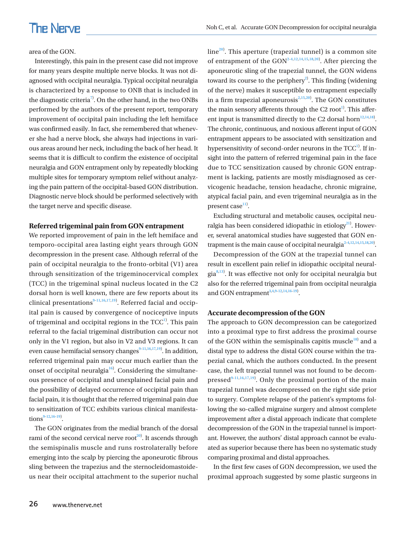#### area of the GON.

Interestingly, this pain in the present case did not improve for many years despite multiple nerve blocks. It was not diagnosed with occipital neuralgia. Typical occipital neuralgia is characterized by a response to ONB that is included in the diagnostic criteria<sup>7</sup>. On the other hand, in the two ONBs performed by the authors of the present report, temporary improvement of occipital pain including the left hemiface was confirmed easily. In fact, she remembered that whenever she had a nerve block, she always had injections in various areas around her neck, including the back of her head. It seems that it is difficult to confirm the existence of occipital neuralgia and GON entrapment only by repeatedly blocking multiple sites for temporary symptom relief without analyzing the pain pattern of the occipital-based GON distribution. Diagnostic nerve block should be performed selectively with the target nerve and specific disease.

#### **Referred trigeminal pain from GON entrapment**

We reported improvement of pain in the left hemiface and temporo-occipital area lasting eight years through GON decompression in the present case. Although referral of the pain of occipital neuralgia to the fronto-orbital (V1) area through sensitization of the trigeminocervical complex (TCC) in the trigeminal spinal nucleus located in the C2 dorsal horn is well known, there are few reports about its clinical presentations<sup>9-11,16[,17](#page-5-12),19)</sup>. Referred facial and occipital pain is caused by convergence of nociceptive inputs of trigeminal and occipital regions in the  $TCC^1$ . This pain referral to the facial trigeminal distribution can occur not only in the V1 region, but also in V2 and V3 regions. It can even cause hemifacial sensory changes<sup>9-11,16,[17,](#page-5-12)19)</sup>. In addition, referred trigeminal pain may occur much earlier than the onset of occipital neuralgia<sup>16</sup>. Considering the simultaneous presence of occipital and unexplained facial pain and the possibility of delayed occurrence of occipital pain than facial pain, it is thought that the referred trigeminal pain due to sensitization of TCC exhibits various clinical manifesta $tions^{9-12,16-19}$ .

The GON originates from the medial branch of the dorsal rami of the second cervical nerve root<sup>20</sup>. It ascends through the semispinalis muscle and runs rostrolaterally before emerging into the scalp by piercing the aponeurotic fibrous sling between the trapezius and the sternocleidomastoideus near their occipital attachment to the superior nuchal

 $line<sup>20</sup>$ . This aperture (trapezial tunnel) is a common site of entrapment of the  $GON<sup>2-4,12,14,15,18,20</sup>$ . After piercing the aponeurotic sling of the trapezial tunnel, the GON widens toward its course to the periphery<sup>2)</sup>. This finding (widening of the nerve) makes it susceptible to entrapment especially in a firm trapezial aponeurosis $2,15,20$ . The GON constitutes the main sensory afferents through the C2 root<sup>1</sup>. This afferent input is transmitted directly to the C2 dorsal horn $12,14,18$ . The chronic, continuous, and noxious afferent input of GON entrapment appears to be associated with sensitization and hypersensitivity of second-order neurons in the  $TCC^1$ . If insight into the pattern of referred trigeminal pain in the face due to TCC sensitization caused by chronic GON entrapment is lacking, patients are mostly misdiagnosed as cervicogenic headache, tension headache, chronic migraine, atypical facial pain, and even trigeminal neuralgia as in the present case<sup>11)</sup>.

Excluding structural and metabolic causes, occipital neuralgia has been considered idiopathic in etiology<sup>21)</sup>. However, several anatomical studies have suggested that GON entrapment is the main cause of occipital neuralgia<sup>2-4,12,14,15,18,20</sup>.

<span id="page-4-0"></span>Decompression of the GON at the trapezial tunnel can result in excellent pain relief in idiopathic occipital neural-gia<sup>[8](#page-5-0),[13\)](#page-5-13)</sup>. It was effective not only for occipital neuralgia but also for the referred trigeminal pain from occipital neuralgia and GON entrapment<sup>[3](#page-5-14)[,4](#page-4-0)[,9](#page-5-15)[-12](#page-5-16)[,14](#page-5-17)[,16](#page-5-18)[-19\)](#page-6-3)</sup>.

#### **Accurate decompression of the GON**

The approach to GON decompression can be categorized into a proximal type to first address the proximal course of the GON within the semispinalis capitis muscle $18$ <sup>18</sup>) and a distal type to address the distal GON course within the trapezial canal, which the authors conducted. In the present case, the left trapezial tunnel was not found to be decompressed $9-11,16,17,19$  $9-11,16,17,19$  $9-11,16,17,19$  $9-11,16,17,19$  $9-11,16,17,19$  $9-11,16,17,19$ . Only the proximal portion of the main trapezial tunnel was decompressed on the right side prior to surgery. Complete relapse of the patient's symptoms following the so-called migraine surgery and almost complete improvement after a distal approach indicate that complete decompression of the GON in the trapezial tunnel is important. However, the authors' distal approach cannot be evaluated as superior because there has been no systematic study comparing proximal and distal approaches.

In the first few cases of GON decompression, we used the proximal approach suggested by some plastic surgeons in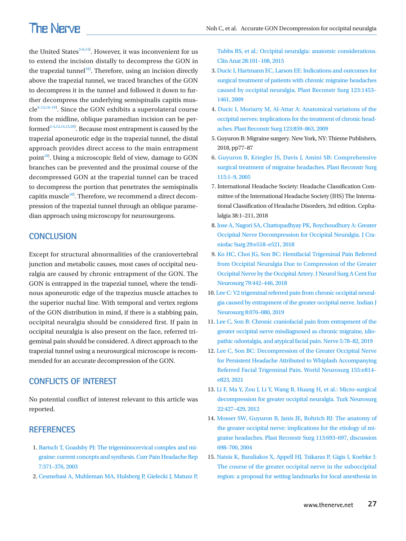## **The Nerve**

the United States $3-6,14$  $3-6,14$  $3-6,14$  $3-6,14$ ). However, it was inconvenient for us to extend the incision distally to decompress the GON in the trapezial tunnel<sup>[18](#page-5-21))</sup>. Therefore, using an incision directly above the trapezial tunnel, we traced branches of the GON to decompress it in the tunnel and followed it down to further decompress the underlying semispinalis capitis mus- $cle^{9-12,16-19}$  $cle^{9-12,16-19}$  $cle^{9-12,16-19}$  $cle^{9-12,16-19}$  $cle^{9-12,16-19}$  $cle^{9-12,16-19}$ . Since the GON exhibits a superolateral course from the midline, oblique paramedian incision can be performed $2-4,12,14,15,20$  $2-4,12,14,15,20$  $2-4,12,14,15,20$  $2-4,12,14,15,20$  $2-4,12,14,15,20$ ). Because most entrapment is caused by the trapezial aponeurotic edge in the trapezial tunnel, the distal approach provides direct access to the main entrapment point $^{18}$  $^{18}$  $^{18}$ ). Using a microscopic field of view, damage to GON branches can be prevented and the proximal course of the decompressed GON at the trapezial tunnel can be traced to decompress the portion that penetrates the semispinalis capitis muscle<sup>[18](#page-5-26))</sup>. Therefore, we recommend a direct decompression of the trapezial tunnel through an oblique paramedian approach using microscopy for neurosurgeons.

### **CONCLUSION**

Except for structural abnormalities of the craniovertebral junction and metabolic causes, most cases of occipital neuralgia are caused by chronic entrapment of the GON. The GON is entrapped in the trapezial tunnel, where the tendinous aponeurotic edge of the trapezius muscle attaches to the superior nuchal line. With temporal and vertex regions of the GON distribution in mind, if there is a stabbing pain, occipital neuralgia should be considered first. If pain in occipital neuralgia is also present on the face, referred trigeminal pain should be considered. A direct approach to the trapezial tunnel using a neurosurgical microscope is recommended for an accurate decompression of the GON.

## **CONFLICTS OF INTEREST**

<span id="page-5-7"></span>No potential conflict of interest relevant to this article was reported.

## <span id="page-5-2"></span>**REFERENCES**

- 1. Bartsch T, Goadsby PJ: The trigeminocervical complex and mig[raine: current concepts and synthesis. Curr Pain Headache Rep](https://doi.org/10.1007/s11916-003-0036-y)  [7:371–376, 2003](https://doi.org/10.1007/s11916-003-0036-y)
- <span id="page-5-1"></span>2. [Cesmebasi A, Muhleman MA, Hulsberg P, Gielecki J, Matusz P,](https://doi.org/10.1002/ca.22468)

[Tubbs RS, et al.: Occipital neuralgia: anatomic considerations.](https://doi.org/10.1002/ca.22468)  [Clin Anat 28:101–108, 2015](https://doi.org/10.1002/ca.22468)

- <span id="page-5-14"></span>3[. Ducic I, Hartmann EC, Larson EE: Indications and outcomes for](https://doi.org/10.1097/prs.0b013e3181a0720e)  [surgical treatment of patients with chronic migraine headaches](https://doi.org/10.1097/prs.0b013e3181a0720e)  [caused by occipital neuralgia. Plast Reconstr Surg 123:1453–](https://doi.org/10.1097/prs.0b013e3181a0720e) [1461, 2009](https://doi.org/10.1097/prs.0b013e3181a0720e)
- 4. [Ducic I, Moriarty M, Al-Attar A: Anatomical variations of the](https://doi.org/10.1097/prs.0b013e318199f080)  [occipital nerves: implications for the treatment of chronic head](https://doi.org/10.1097/prs.0b013e318199f080)[aches. Plast Reconstr Surg 123:859–863, 2009](https://doi.org/10.1097/prs.0b013e318199f080)
- <span id="page-5-0"></span>5. Guyuron B: Migraine surgery. New York, NY: Thieme Publishers, 2018, pp77–87
- <span id="page-5-22"></span><span id="page-5-15"></span><span id="page-5-8"></span>6. Guyuron B, Kriegler JS, Davis J, Amini SB: Comprehensive surgical t[reatment of migraine headaches. Plast Reconstr Surg](https://www.ncbi.nlm.nih.gov/pubmed/15622223)  [115:1–9, 2005](https://www.ncbi.nlm.nih.gov/pubmed/15622223)
- <span id="page-5-10"></span>7. International Headache Society: Headache Classification Committee of the International Headache Society (IHS) The International Classification of Headache Disorders, 3rd edition. Cephalalgia 38:1–211, 2018
- <span id="page-5-16"></span><span id="page-5-5"></span>8. Jose A, Nagori SA, Chattopadhyay PK, Roychoudhury A: Greater Occipital Nerve Decompression for Occipital Neuralgia. J Craniofac Surg 29:e518–e521, 2018
- <span id="page-5-24"></span><span id="page-5-23"></span><span id="page-5-13"></span>9. Ko HC, Choi JG, Son BC: Hemifacial Trigeminal Pain Refer[red](https://doi.org/10.1055/s-0038-1655751)  [from Occipital Neuralgia Due to Compression of the Greater](https://doi.org/10.1055/s-0038-1655751)  [Occipital Nerve by the Occipital Artery. J Neurol Surg A Cent Eur](https://doi.org/10.1055/s-0038-1655751)  [Neurosurg 79:442–446, 2018](https://doi.org/10.1055/s-0038-1655751)
- <span id="page-5-17"></span><span id="page-5-3"></span>10. Lee C: V2 trigeminal referred pain from chronic occipital neuralgia caused [by entrapment of the greater occipital nerve. Indian J](https://doi.org/10.1055/s-0038-1676662)  [Neurosurg 8:076–080, 2019](https://doi.org/10.1055/s-0038-1676662)
- <span id="page-5-25"></span><span id="page-5-4"></span>11. Lee C, Son B: Chronic craniofacial pain from en[trapment of the](https://doi.org/10.21129/nerve.2019.5.2.78)  [greater occipital nerve misdiagnosed as chronic migraine, idio](https://doi.org/10.21129/nerve.2019.5.2.78)[pathic odontalgia, and atypical facial pain. Nerve 5:78–82, 2019](https://doi.org/10.21129/nerve.2019.5.2.78)
- <span id="page-5-11"></span>12. [Lee C, Son BC: Decompression of the Greater Occipital Nerve](https://doi.org/10.1016/j.wneu.2021.09.017)  [for Persistent Headache Attributed to Whiplash Accompanying](https://doi.org/10.1016/j.wneu.2021.09.017)  [Referred Facial Trigeminal Pain. World Neurosurg 155:e814–](https://doi.org/10.1016/j.wneu.2021.09.017) [e823, 2021](https://doi.org/10.1016/j.wneu.2021.09.017)
- <span id="page-5-18"></span><span id="page-5-9"></span>13. Li F, Ma Y, Zou J, Li Y, Wang B, Huang H, et al.: Mi[cro-surgical](https://doi.org/10.5137/1019-5149.jtn.5234-11.1)  [decompression for greater occipital neuralgia. Turk Neurosurg](https://doi.org/10.5137/1019-5149.jtn.5234-11.1)  [22:427–429, 201](https://doi.org/10.5137/1019-5149.jtn.5234-11.1)2
- <span id="page-5-20"></span><span id="page-5-12"></span>14. Mosser SW, Gu[yuron B, Janis JE, Rohrich RJ: The anatomy of](https://doi.org/10.1097/01.prs.0000101502.22727.5d)  [the greater occipital nerve: implications for the etiology of mi](https://doi.org/10.1097/01.prs.0000101502.22727.5d)[graine headaches. Plast Reconstr Surg 113:693–697, discussion](https://doi.org/10.1097/01.prs.0000101502.22727.5d)  [698–700, 20](https://doi.org/10.1097/01.prs.0000101502.22727.5d)04
- <span id="page-5-26"></span><span id="page-5-21"></span><span id="page-5-19"></span><span id="page-5-6"></span>15. Natsis K, Baraliakos X, Appell HJ, Tsikaras P, Gigis I, Koebke J: The course of the greater occipital nerve in the suboccipital region: a proposal for setting landmarks for local anesthesia in